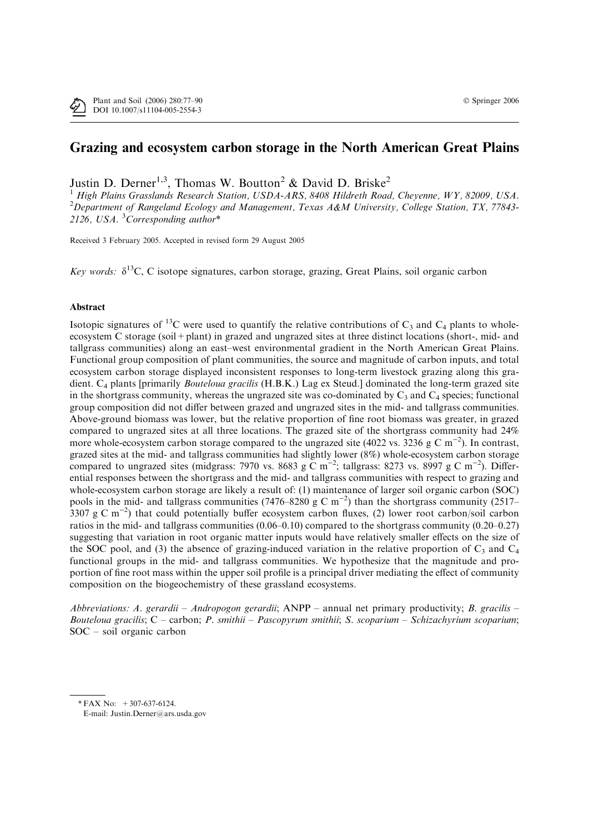# Grazing and ecosystem carbon storage in the North American Great Plains

Justin D. Derner<sup>1,3</sup>, Thomas W. Boutton<sup>2</sup> & David D. Briske<sup>2</sup>

<sup>1</sup> High Plains Grasslands Research Station, USDA-ARS, 8408 Hildreth Road, Cheyenne, WY, 82009, USA. <sup>2</sup>Department of Rangeland Ecology and Management, Texas A&M University, College Station, TX, 77843-2126, USA.  ${}^{3}$ Corresponding author\*

Received 3 February 2005. Accepted in revised form 29 August 2005

Key words:  $\delta^{13}$ C, C isotope signatures, carbon storage, grazing, Great Plains, soil organic carbon

# Abstract

Isotopic signatures of <sup>13</sup>C were used to quantify the relative contributions of  $C_3$  and  $C_4$  plants to wholeecosystem C storage (soil+plant) in grazed and ungrazed sites at three distinct locations (short-, mid- and tallgrass communities) along an east–west environmental gradient in the North American Great Plains. Functional group composition of plant communities, the source and magnitude of carbon inputs, and total ecosystem carbon storage displayed inconsistent responses to long-term livestock grazing along this gradient. C<sub>4</sub> plants [primarily *Bouteloua gracilis* (H.B.K.) Lag ex Steud.] dominated the long-term grazed site in the shortgrass community, whereas the ungrazed site was co-dominated by  $C_3$  and  $C_4$  species; functional group composition did not differ between grazed and ungrazed sites in the mid- and tallgrass communities. Above-ground biomass was lower, but the relative proportion of fine root biomass was greater, in grazed compared to ungrazed sites at all three locations. The grazed site of the shortgrass community had 24% more whole-ecosystem carbon storage compared to the ungrazed site (4022 vs. 3236 g C m<sup>-2</sup>). In contrast, grazed sites at the mid- and tallgrass communities had slightly lower (8%) whole-ecosystem carbon storage compared to ungrazed sites (midgrass: 7970 vs. 8683 g  $\overline{C}$  m<sup>-2</sup>; tallgrass: 8273 vs. 8997 g  $\overline{C}$  m<sup>-2</sup>). Differential responses between the shortgrass and the mid- and tallgrass communities with respect to grazing and whole-ecosystem carbon storage are likely a result of: (1) maintenance of larger soil organic carbon (SOC) pools in the mid- and tallgrass communities (7476–8280 g C m<sup>-2</sup>) than the shortgrass community (2517– 3307 g C m<sup>-2</sup>) that could potentially buffer ecosystem carbon fluxes, (2) lower root carbon/soil carbon ratios in the mid- and tallgrass communities (0.06–0.10) compared to the shortgrass community (0.20–0.27) suggesting that variation in root organic matter inputs would have relatively smaller effects on the size of the SOC pool, and (3) the absence of grazing-induced variation in the relative proportion of  $C_3$  and  $C_4$ functional groups in the mid- and tallgrass communities. We hypothesize that the magnitude and proportion of fine root mass within the upper soil profile is a principal driver mediating the effect of community composition on the biogeochemistry of these grassland ecosystems.

Abbreviations: A. gerardii – Andropogon gerardii;  $\text{ANPP}$  – annual net primary productivity; B. gracilis – Bouteloua gracilis;  $C$  – carbon; P. smithii – Pascopyrum smithii; S. scoparium – Schizachyrium scoparium; SOC – soil organic carbon

<sup>\*</sup> FAX No:  $+307-637-6124$ .

E-mail: Justin.Derner@ars.usda.gov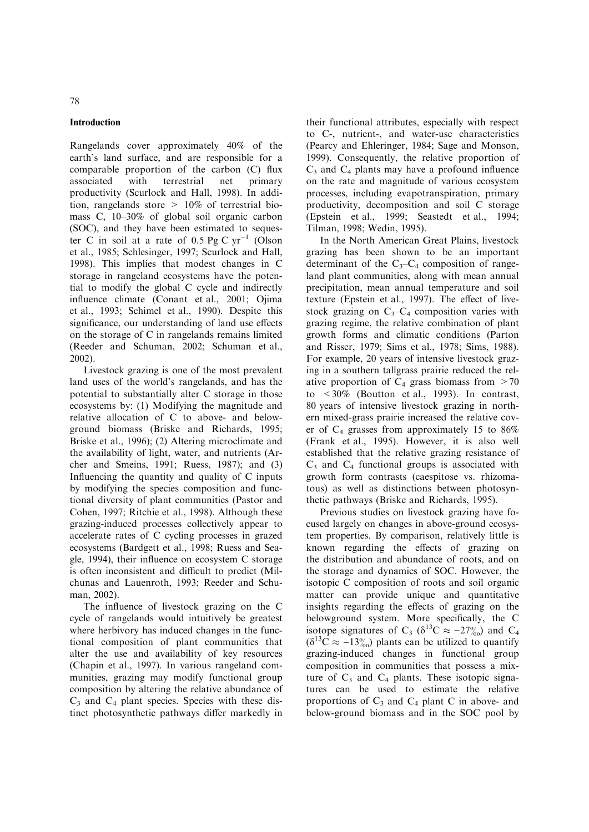# Introduction

Rangelands cover approximately 40% of the earth's land surface, and are responsible for a comparable proportion of the carbon (C) flux associated with terrestrial net primary productivity (Scurlock and Hall, 1998). In addition, rangelands store  $> 10\%$  of terrestrial biomass C, 10–30% of global soil organic carbon (SOC), and they have been estimated to sequester C in soil at a rate of  $0.5$  Pg C yr<sup>-1</sup> (Olson et al., 1985; Schlesinger, 1997; Scurlock and Hall, 1998). This implies that modest changes in C storage in rangeland ecosystems have the potential to modify the global C cycle and indirectly influence climate (Conant et al., 2001; Ojima et al., 1993; Schimel et al., 1990). Despite this significance, our understanding of land use effects on the storage of C in rangelands remains limited (Reeder and Schuman, 2002; Schuman et al., 2002).

Livestock grazing is one of the most prevalent land uses of the world's rangelands, and has the potential to substantially alter C storage in those ecosystems by: (1) Modifying the magnitude and relative allocation of C to above- and belowground biomass (Briske and Richards, 1995; Briske et al., 1996); (2) Altering microclimate and the availability of light, water, and nutrients (Archer and Smeins, 1991; Ruess, 1987); and (3) Influencing the quantity and quality of C inputs by modifying the species composition and functional diversity of plant communities (Pastor and Cohen, 1997; Ritchie et al., 1998). Although these grazing-induced processes collectively appear to accelerate rates of C cycling processes in grazed ecosystems (Bardgett et al., 1998; Ruess and Seagle, 1994), their influence on ecosystem C storage is often inconsistent and difficult to predict (Milchunas and Lauenroth, 1993; Reeder and Schuman, 2002).

The influence of livestock grazing on the C cycle of rangelands would intuitively be greatest where herbivory has induced changes in the functional composition of plant communities that alter the use and availability of key resources (Chapin et al., 1997). In various rangeland communities, grazing may modify functional group composition by altering the relative abundance of  $C_3$  and  $C_4$  plant species. Species with these distinct photosynthetic pathways differ markedly in

their functional attributes, especially with respect to C-, nutrient-, and water-use characteristics (Pearcy and Ehleringer, 1984; Sage and Monson, 1999). Consequently, the relative proportion of  $C_3$  and  $C_4$  plants may have a profound influence on the rate and magnitude of various ecosystem processes, including evapotranspiration, primary productivity, decomposition and soil C storage (Epstein et al., 1999; Seastedt et al., 1994; Tilman, 1998; Wedin, 1995).

In the North American Great Plains, livestock grazing has been shown to be an important determinant of the  $C_3-C_4$  composition of rangeland plant communities, along with mean annual precipitation, mean annual temperature and soil texture (Epstein et al., 1997). The effect of livestock grazing on  $C_3-C_4$  composition varies with grazing regime, the relative combination of plant growth forms and climatic conditions (Parton and Risser, 1979; Sims et al., 1978; Sims, 1988). For example, 20 years of intensive livestock grazing in a southern tallgrass prairie reduced the relative proportion of  $C_4$  grass biomass from  $>70$ to <30% (Boutton et al., 1993). In contrast, 80 years of intensive livestock grazing in northern mixed-grass prairie increased the relative cover of  $C_4$  grasses from approximately 15 to 86% (Frank et al., 1995). However, it is also well established that the relative grazing resistance of  $C_3$  and  $C_4$  functional groups is associated with growth form contrasts (caespitose vs. rhizomatous) as well as distinctions between photosynthetic pathways (Briske and Richards, 1995).

Previous studies on livestock grazing have focused largely on changes in above-ground ecosystem properties. By comparison, relatively little is known regarding the effects of grazing on the distribution and abundance of roots, and on the storage and dynamics of SOC. However, the isotopic C composition of roots and soil organic matter can provide unique and quantitative insights regarding the effects of grazing on the belowground system. More specifically, the C isotope signatures of C<sub>3</sub> ( $\delta^{13}$ C  $\approx -27\%$ ) and C<sub>4</sub>  $(\delta^{13}C \approx -13\%)$  plants can be utilized to quantify grazing-induced changes in functional group composition in communities that possess a mixture of  $C_3$  and  $C_4$  plants. These isotopic signatures can be used to estimate the relative proportions of  $C_3$  and  $C_4$  plant C in above- and below-ground biomass and in the SOC pool by

# 78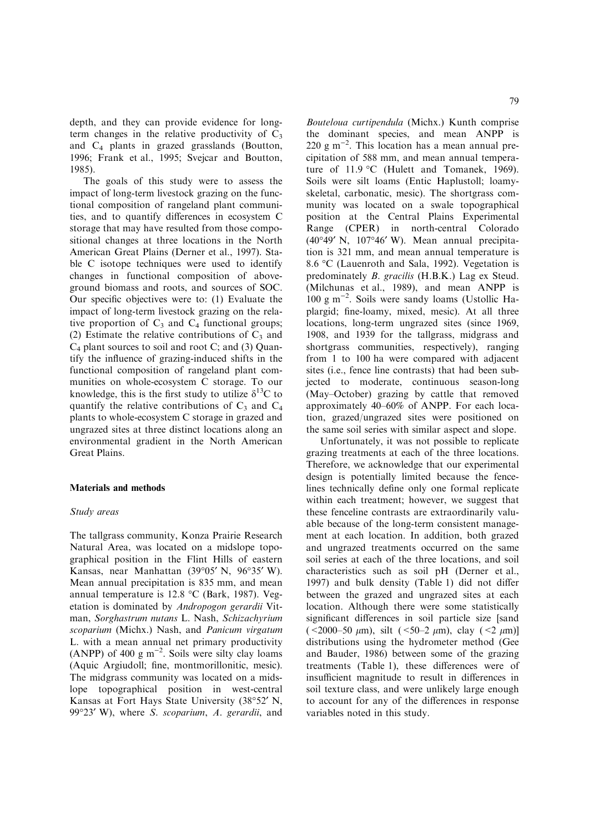depth, and they can provide evidence for longterm changes in the relative productivity of  $C_3$ and C4 plants in grazed grasslands (Boutton, 1996; Frank et al., 1995; Svejcar and Boutton, 1985).

The goals of this study were to assess the impact of long-term livestock grazing on the functional composition of rangeland plant communities, and to quantify differences in ecosystem C storage that may have resulted from those compositional changes at three locations in the North American Great Plains (Derner et al., 1997). Stable C isotope techniques were used to identify changes in functional composition of aboveground biomass and roots, and sources of SOC. Our specific objectives were to: (1) Evaluate the impact of long-term livestock grazing on the relative proportion of  $C_3$  and  $C_4$  functional groups; (2) Estimate the relative contributions of  $C_3$  and  $C_4$  plant sources to soil and root C; and (3) Quantify the influence of grazing-induced shifts in the functional composition of rangeland plant communities on whole-ecosystem C storage. To our knowledge, this is the first study to utilize  $\delta^{13}C$  to quantify the relative contributions of  $C_3$  and  $C_4$ plants to whole-ecosystem C storage in grazed and ungrazed sites at three distinct locations along an environmental gradient in the North American Great Plains.

## Materials and methods

# Study areas

The tallgrass community, Konza Prairie Research Natural Area, was located on a midslope topographical position in the Flint Hills of eastern Kansas, near Manhattan  $(39°05' \text{ N}, 96°35' \text{ W})$ . Mean annual precipitation is 835 mm, and mean annual temperature is  $12.8 \text{ °C}$  (Bark, 1987). Vegetation is dominated by Andropogon gerardii Vitman, Sorghastrum nutans L. Nash, Schizachyrium scoparium (Michx.) Nash, and Panicum virgatum L. with a mean annual net primary productivity (ANPP) of 400 g  $m^{-2}$ . Soils were silty clay loams (Aquic Argiudoll; fine, montmorillonitic, mesic). The midgrass community was located on a midslope topographical position in west-central Kansas at Fort Hays State University (38°52' N, 99°23' W), where S. scoparium, A. gerardii, and

Bouteloua curtipendula (Michx.) Kunth comprise the dominant species, and mean ANPP is  $220 \text{ g m}^{-2}$ . This location has a mean annual precipitation of 588 mm, and mean annual temperature of  $11.9 \text{ °C}$  (Hulett and Tomanek, 1969). Soils were silt loams (Entic Haplustoll; loamyskeletal, carbonatic, mesic). The shortgrass community was located on a swale topographical position at the Central Plains Experimental Range (CPER) in north-central Colorado  $(40°49' N, 107°46' W)$ . Mean annual precipitation is 321 mm, and mean annual temperature is 8.6 °C (Lauenroth and Sala, 1992). Vegetation is predominately B. gracilis (H.B.K.) Lag ex Steud. (Milchunas et al., 1989), and mean ANPP is  $100 \text{ g m}^{-2}$ . Soils were sandy loams (Ustollic Haplargid; fine-loamy, mixed, mesic). At all three locations, long-term ungrazed sites (since 1969, 1908, and 1939 for the tallgrass, midgrass and shortgrass communities, respectively), ranging from 1 to 100 ha were compared with adjacent sites (i.e., fence line contrasts) that had been subjected to moderate, continuous season-long (May–October) grazing by cattle that removed approximately 40–60% of ANPP. For each location, grazed/ungrazed sites were positioned on the same soil series with similar aspect and slope.

Unfortunately, it was not possible to replicate grazing treatments at each of the three locations. Therefore, we acknowledge that our experimental design is potentially limited because the fencelines technically define only one formal replicate within each treatment; however, we suggest that these fenceline contrasts are extraordinarily valuable because of the long-term consistent management at each location. In addition, both grazed and ungrazed treatments occurred on the same soil series at each of the three locations, and soil characteristics such as soil pH (Derner et al., 1997) and bulk density (Table 1) did not differ between the grazed and ungrazed sites at each location. Although there were some statistically significant differences in soil particle size [sand (<2000–50  $\mu$ m), silt (<50–2  $\mu$ m), clay (<2  $\mu$ m)] distributions using the hydrometer method (Gee and Bauder, 1986) between some of the grazing treatments (Table 1), these differences were of insufficient magnitude to result in differences in soil texture class, and were unlikely large enough to account for any of the differences in response variables noted in this study.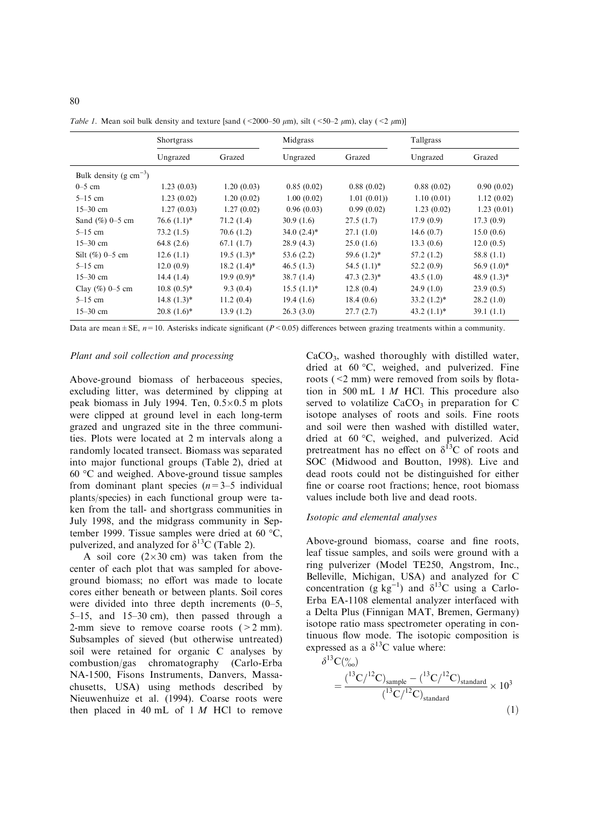|                             | <b>Shortgrass</b> |                | Midgrass      |                | Tallgrass      |                |
|-----------------------------|-------------------|----------------|---------------|----------------|----------------|----------------|
|                             | Ungrazed          | Grazed         | Ungrazed      | Grazed         | Ungrazed       | Grazed         |
| Bulk density (g $cm^{-3}$ ) |                   |                |               |                |                |                |
| $0-5$ cm                    | 1.23(0.03)        | 1.20(0.03)     | 0.85(0.02)    | 0.88(0.02)     | 0.88(0.02)     | 0.90(0.02)     |
| $5-15$ cm                   | 1.23(0.02)        | 1.20(0.02)     | 1.00(0.02)    | 1.01(0.01)     | 1.10(0.01)     | 1.12(0.02)     |
| $15 - 30$ cm                | 1.27(0.03)        | 1.27(0.02)     | 0.96(0.03)    | 0.99(0.02)     | 1.23(0.02)     | 1.23(0.01)     |
| Sand $(\%)$ 0-5 cm          | $76.6 (1.1)^*$    | 71.2(1.4)      | 30.9(1.6)     | 27.5(1.7)      | 17.9(0.9)      | 17.3(0.9)      |
| $5-15$ cm                   | 73.2(1.5)         | 70.6(1.2)      | $34.0(2.4)$ * | 27.1(1.0)      | 14.6(0.7)      | 15.0(0.6)      |
| $15 - 30$ cm                | 64.8(2.6)         | 67.1(1.7)      | 28.9(4.3)     | 25.0(1.6)      | 13.3(0.6)      | 12.0(0.5)      |
| Silt $(\%)$ 0-5 cm          | 12.6(1.1)         | $19.5(1.3)^*$  | 53.6(2.2)     | $59.6 (1.2)^*$ | 57.2(1.2)      | 58.8(1.1)      |
| $5-15$ cm                   | 12.0(0.9)         | $18.2 (1.4)^*$ | 46.5(1.3)     | $54.5(1.1)^*$  | 52.2(0.9)      | $56.9(1.0)*$   |
| $15 - 30$ cm                | 14.4(1.4)         | $19.9(0.9)*$   | 38.7(1.4)     | $47.3(2.3)*$   | 43.5(1.0)      | 48.9 $(1.3)$ * |
| Clay $(\%)$ 0-5 cm          | $10.8(0.5)^*$     | 9.3(0.4)       | $15.5(1.1)^*$ | 12.8(0.4)      | 24.9(1.0)      | 23.9(0.5)      |
| $5-15$ cm                   | $14.8(1.3)^*$     | 11.2(0.4)      | 19.4(1.6)     | 18.4(0.6)      | $33.2 (1.2)^*$ | 28.2(1.0)      |
| $15 - 30$ cm                | $20.8(1.6)^*$     | 13.9(1.2)      | 26.3(3.0)     | 27.7(2.7)      | $43.2 (1.1)^*$ | 39.1(1.1)      |

Table 1. Mean soil bulk density and texture [sand (<2000–50  $\mu$ m), silt (<50–2  $\mu$ m), clay (<2  $\mu$ m)]

Data are mean  $\pm$  SE,  $n=10$ . Asterisks indicate significant (P < 0.05) differences between grazing treatments within a community.

## Plant and soil collection and processing

Above-ground biomass of herbaceous species, excluding litter, was determined by clipping at peak biomass in July 1994. Ten,  $0.5 \times 0.5$  m plots were clipped at ground level in each long-term grazed and ungrazed site in the three communities. Plots were located at 2 m intervals along a randomly located transect. Biomass was separated into major functional groups (Table 2), dried at 60 -C and weighed. Above-ground tissue samples from dominant plant species  $(n=3-5 \text{ individual})$ plants/species) in each functional group were taken from the tall- and shortgrass communities in July 1998, and the midgrass community in September 1999. Tissue samples were dried at 60  $\degree$ C, pulverized, and analyzed for  $\delta^{13}$ C (Table 2).

A soil core  $(2\times30 \text{ cm})$  was taken from the center of each plot that was sampled for aboveground biomass; no effort was made to locate cores either beneath or between plants. Soil cores were divided into three depth increments (0–5, 5–15, and 15–30 cm), then passed through a 2-mm sieve to remove coarse roots  $(2 mm)$ . Subsamples of sieved (but otherwise untreated) soil were retained for organic C analyses by combustion/gas chromatography (Carlo-Erba NA-1500, Fisons Instruments, Danvers, Massachusetts, USA) using methods described by Nieuwenhuize et al. (1994). Coarse roots were then placed in 40 mL of  $1 M$  HCl to remove

 $CaCO<sub>3</sub>$ , washed thoroughly with distilled water, dried at  $60 °C$ , weighed, and pulverized. Fine roots (<2 mm) were removed from soils by flotation in 500 mL 1  $M$  HCl. This procedure also served to volatilize  $CaCO<sub>3</sub>$  in preparation for C isotope analyses of roots and soils. Fine roots and soil were then washed with distilled water, dried at 60 °C, weighed, and pulverized. Acid pretreatment has no effect on  $\delta^{13}$ C of roots and SOC (Midwood and Boutton, 1998). Live and dead roots could not be distinguished for either fine or coarse root fractions; hence, root biomass values include both live and dead roots.

#### Isotopic and elemental analyses

Above-ground biomass, coarse and fine roots, leaf tissue samples, and soils were ground with a ring pulverizer (Model TE250, Angstrom, Inc., Belleville, Michigan, USA) and analyzed for C concentration (g kg<sup>-1</sup>) and  $\delta^{13}$ C using a Carlo-Erba EA-1108 elemental analyzer interfaced with a Delta Plus (Finnigan MAT, Bremen, Germany) isotope ratio mass spectrometer operating in continuous flow mode. The isotopic composition is expressed as a  $\delta^{13}$ C value where:  $\delta^{13}C^{(0)}$ 

$$
= \frac{(^{13}C/^{12}C)_{\text{sample}} - (^{13}C/^{12}C)_{\text{standard}}}{(^{13}C/^{12}C)_{\text{standard}}} \times 10^{3}
$$
\n(1)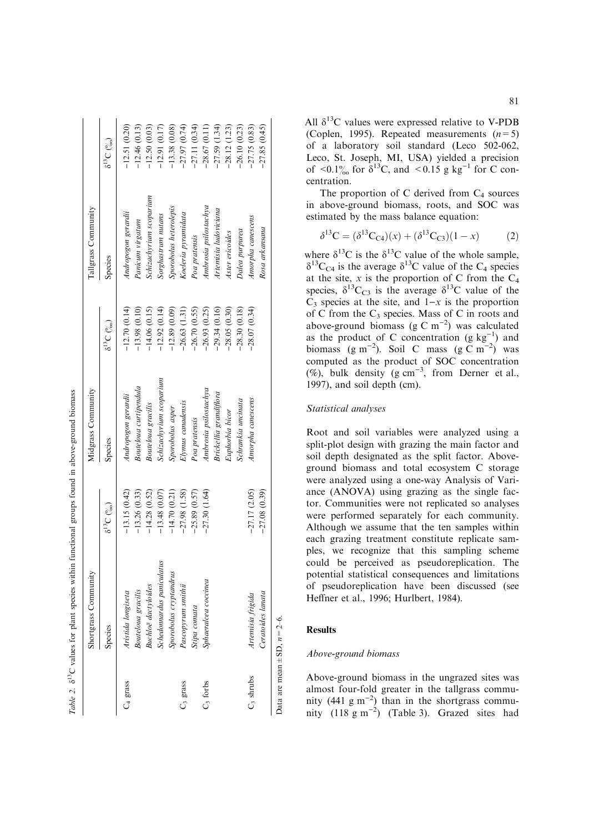|                                   | Shortgrass Community       |                    | Midgrass Community      |                                | Tallgrass Community     |                                          |
|-----------------------------------|----------------------------|--------------------|-------------------------|--------------------------------|-------------------------|------------------------------------------|
|                                   | Species                    | $\delta^{13}C$ (%) | Species                 | $\delta^{13}C$ $\binom{0}{00}$ | Species                 | $\delta^{13}C$ $\binom{o}{\delta\omega}$ |
| C <sub>4</sub> grass              | Aristida longiseta         | $-13.15(0.42)$     | Andropogon gerardii     | $-12.70(0.14)$                 | Andropogon gerardii     | $-12.51(0.20)$                           |
|                                   | <b>Bouteloua</b> gracilis  | $-13.26(0.33)$     | Bouteloua curtipendula  | $-13.98(0.10)$                 | Panicum virgatum        | $-12.46(0.13)$                           |
|                                   | <b>Buchloë</b> dactyloides | $-14.28(0.52)$     | Bouteloua gracilis      | $-14.06(0.15)$                 | Schizachyrium scoparium | $-12.50(0.03)$                           |
|                                   | Schedonnardus paniculatus  | $-13.48(0.07)$     | Schizachyrium scoparium | $-12.92(0.14)$                 | Sorghastrum nutans      | $-12.91(0.17)$                           |
|                                   | Sporobolus cryptandrus     | $-14.70(0.21)$     | Sporobolus asper        | $-12.89(0.09)$                 | Sporobolus heterolepis  | $-13.38(0.08)$                           |
| C <sub>3</sub> grass              | Pascopyrum smithii         | $-27.98(1.58)$     | Elymus canadensis       | $-26.63(1.31)$                 | Koeleria pyramidata     | $-27.97(0.74)$                           |
|                                   | Stipa comata               | $-25.89(0.57)$     | Poa pratensis           | $-26.70(0.55)$                 | Poa pratensis           | $-27.11(0.34)$                           |
| $C3$ forbs                        | Sphaeralcea coccinea       | $-27.30(1.64)$     | Ambrosia psilostachya   | $-26.93(0.25)$                 | Ambrosia psilostachya   | $-28.67(0.11)$                           |
|                                   |                            |                    | Brickellia grandiflora  | $-29.34(0.16)$                 | Artemisia ludoviciana   | $-27.59(1.34)$                           |
|                                   |                            |                    | Euphorbia bicor         | $-28.05(0.30)$                 | Aster ericoides         | $-28.12(1.23)$                           |
|                                   |                            |                    | Schrankia uncinata      | .28.30(0.18)                   | Dalea purpurea          | $-26.10(0.23)$                           |
| $C_3$ shrubs                      | Artemisia frigida          | $-27.17(2.05)$     | Amorpha canescens       | $-28.07(0.34)$                 | Amorpha canescens       | $-27.75(0.83)$                           |
|                                   | Ceratoides lanata          | $-27.08(0.39)$     |                         |                                | Rosa arkansana          | $-27.85(0.45)$                           |
| Data are mean $\pm$ SD, $n=2-6$ . |                            |                    |                         |                                |                         |                                          |

Table 2.  $\delta^{13}$ C values for plant species within functional groups found in above-ground biomass d13C values for plant species within functional groups found in above-ground biomass All  $\delta^{13}$ C values were expressed relative to V-PDB (Coplen, 1995). Repeated measurements  $(n=5)$ of a laboratory soil standard (Leco 502-062, Leco, St. Joseph, MI, USA) yielded a precision of <0.1% for  $\delta^{13}C$ , and <0.15 g kg<sup>-1</sup> for C concentration.

The proportion of C derived from  $C_4$  sources in above-ground biomass, roots, and SOC was estimated by the mass balance equation:

$$
\delta^{13}C = (\delta^{13}C_{C4})(x) + (\delta^{13}C_{C3})(1 - x)
$$
 (2)

where  $\delta^{13}$ C is the  $\delta^{13}$ C value of the whole sample,  $\delta^{13}C_{C4}$  is the average  $\delta^{13}C$  value of the C<sub>4</sub> species at the site, x is the proportion of C from the  $C_4$ species,  $\delta^{13}C_{C3}$  is the average  $\delta^{13}C$  value of the  $C_3$  species at the site, and  $1-x$  is the proportion of C from the  $C_3$  species. Mass of C in roots and above-ground biomass (g C  $m^{-2}$ ) was calculated as the product of C concentration  $(g kg^{-1})$  and biomass (g m<sup>-2</sup>). Soil C mass (g C m<sup>-2</sup>) was computed as the product of SOC concentration  $(\%)$ , bulk density (g cm<sup>-3</sup>, from Derner et al., 1997), and soil depth (cm).

# Statistical analyses

Root and soil variables were analyzed using a split-plot design with grazing the main factor and soil depth designated as the split factor. Aboveground biomass and total ecosystem C storage were analyzed using a one-way Analysis of Variance (ANOVA) using grazing as the single factor. Communities were not replicated so analyses were performed separately for each community. Although we assume that the ten samples within each grazing treatment constitute replicate samples, we recognize that this sampling scheme could be perceived as pseudoreplication. The potential statistical consequences and limitations of pseudoreplication have been discussed (see Heffner et al., 1996; Hurlbert, 1984).

# **Results**

#### Above-ground biomass

Above-ground biomass in the ungrazed sites was almost four-fold greater in the tallgrass community (441 g m<sup>-2</sup>) than in the shortgrass community  $(118 \text{ g m}^{-2})$  (Table 3). Grazed sites had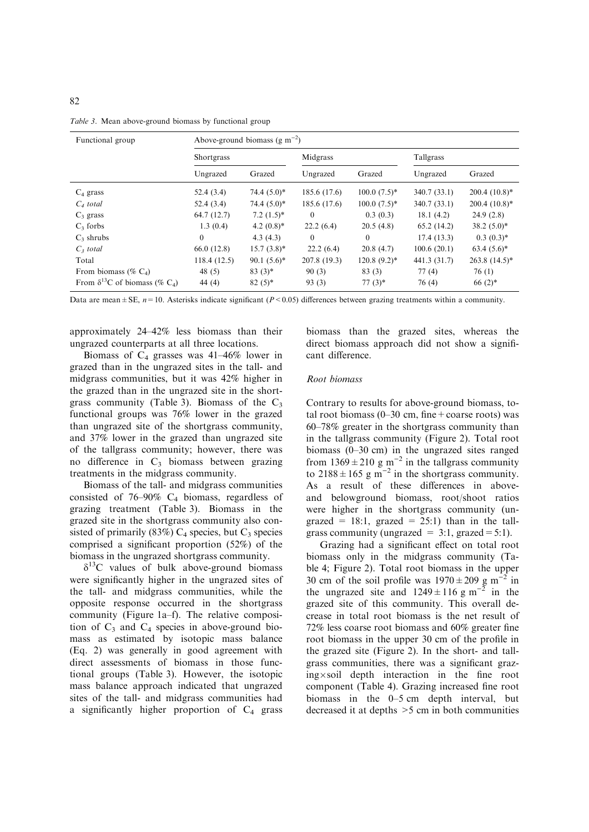| Functional group                          | Above-ground biomass $(g m^{-2})$ |                          |              |                 |                  |                 |  |  |
|-------------------------------------------|-----------------------------------|--------------------------|--------------|-----------------|------------------|-----------------|--|--|
|                                           | Shortgrass                        |                          | Midgrass     |                 | <b>Tallgrass</b> |                 |  |  |
|                                           | Ungrazed                          | Grazed                   | Ungrazed     | Grazed          | Ungrazed         | Grazed          |  |  |
| $C_4$ grass                               | 52.4(3.4)                         | $74.4(5.0)^*$            | 185.6 (17.6) | $100.0(7.5)*$   | 340.7(33.1)      | $200.4(10.8)*$  |  |  |
| $C_4$ total                               | 52.4(3.4)                         | $74.4(5.0)*$             | 185.6 (17.6) | $100.0 (7.5)^*$ | 340.7 (33.1)     | $200.4(10.8)*$  |  |  |
| $C_3$ grass                               | 64.7 (12.7)                       | $7.2(1.5)^*$             | $\mathbf{0}$ | 0.3(0.3)        | 18.1(4.2)        | 24.9(2.8)       |  |  |
| $C_3$ forbs                               | 1.3(0.4)                          | 4.2 $(0.8)$ <sup>*</sup> | 22.2(6.4)    | 20.5(4.8)       | 65.2(14.2)       | $38.2(5.0)^*$   |  |  |
| $C_3$ shrubs                              | $\Omega$                          | 4.3(4.3)                 | $\theta$     | $\theta$        | 17.4(13.3)       | $0.3(0.3)*$     |  |  |
| $C3$ total                                | 66.0 (12.8)                       | $15.7(3.8)$ *            | 22.2(6.4)    | 20.8(4.7)       | 100.6(20.1)      | $63.4(5.6)^*$   |  |  |
| Total                                     | 118.4(12.5)                       | $90.1(5.6)^*$            | 207.8 (19.3) | $120.8(9.2)$ *  | 441.3 (31.7)     | $263.8(14.5)^*$ |  |  |
| From biomass (% $C_4$ )                   | 48 $(5)$                          | $83(3)*$                 | 90(3)        | 83(3)           | 77(4)            | 76(1)           |  |  |
| From $\delta^{13}C$ of biomass (% $C_4$ ) | 44 (4)                            | $82(5)*$                 | 93(3)        | $77(3)*$        | 76 (4)           | $66(2)$ *       |  |  |

Table 3. Mean above-ground biomass by functional group

Data are mean  $\pm$  SE,  $n=10$ . Asterisks indicate significant (P < 0.05) differences between grazing treatments within a community.

approximately 24–42% less biomass than their ungrazed counterparts at all three locations.

Biomass of  $C_4$  grasses was 41–46% lower in grazed than in the ungrazed sites in the tall- and midgrass communities, but it was 42% higher in the grazed than in the ungrazed site in the shortgrass community (Table 3). Biomass of the  $C_3$ functional groups was 76% lower in the grazed than ungrazed site of the shortgrass community, and 37% lower in the grazed than ungrazed site of the tallgrass community; however, there was no difference in  $C_3$  biomass between grazing treatments in the midgrass community.

Biomass of the tall- and midgrass communities consisted of  $76-90\%$  C<sub>4</sub> biomass, regardless of grazing treatment (Table 3). Biomass in the grazed site in the shortgrass community also consisted of primarily (83%)  $C_4$  species, but  $C_3$  species comprised a significant proportion (52%) of the biomass in the ungrazed shortgrass community.

 $\delta^{13}$ C values of bulk above-ground biomass were significantly higher in the ungrazed sites of the tall- and midgrass communities, while the opposite response occurred in the shortgrass community (Figure 1a–f). The relative composition of  $C_3$  and  $C_4$  species in above-ground biomass as estimated by isotopic mass balance (Eq. 2) was generally in good agreement with direct assessments of biomass in those functional groups (Table 3). However, the isotopic mass balance approach indicated that ungrazed sites of the tall- and midgrass communities had a significantly higher proportion of  $C_4$  grass

biomass than the grazed sites, whereas the direct biomass approach did not show a significant difference.

#### Root biomass

Contrary to results for above-ground biomass, total root biomass  $(0-30 \text{ cm}, \text{fine} + \text{coarse roots})$  was 60–78% greater in the shortgrass community than in the tallgrass community (Figure 2). Total root biomass (0–30 cm) in the ungrazed sites ranged from  $1369 \pm 210$  g m<sup>-2</sup> in the tallgrass community to  $2188 \pm 165$  g m<sup>-2</sup> in the shortgrass community. As a result of these differences in aboveand belowground biomass, root/shoot ratios were higher in the shortgrass community (ungrazed = 18:1, grazed = 25:1) than in the tallgrass community (ungrazed =  $3:1$ , grazed =  $5:1$ ).

Grazing had a significant effect on total root biomass only in the midgrass community (Table 4; Figure 2). Total root biomass in the upper 30 cm of the soil profile was  $1970 \pm 209$  g m<sup>-2</sup> in the ungrazed site and  $1249 \pm 116$  g m<sup>-2</sup> in the grazed site of this community. This overall decrease in total root biomass is the net result of 72% less coarse root biomass and 60% greater fine root biomass in the upper 30 cm of the profile in the grazed site (Figure 2). In the short- and tallgrass communities, there was a significant grazing-soil depth interaction in the fine root component (Table 4). Grazing increased fine root biomass in the 0–5 cm depth interval, but decreased it at depths >5 cm in both communities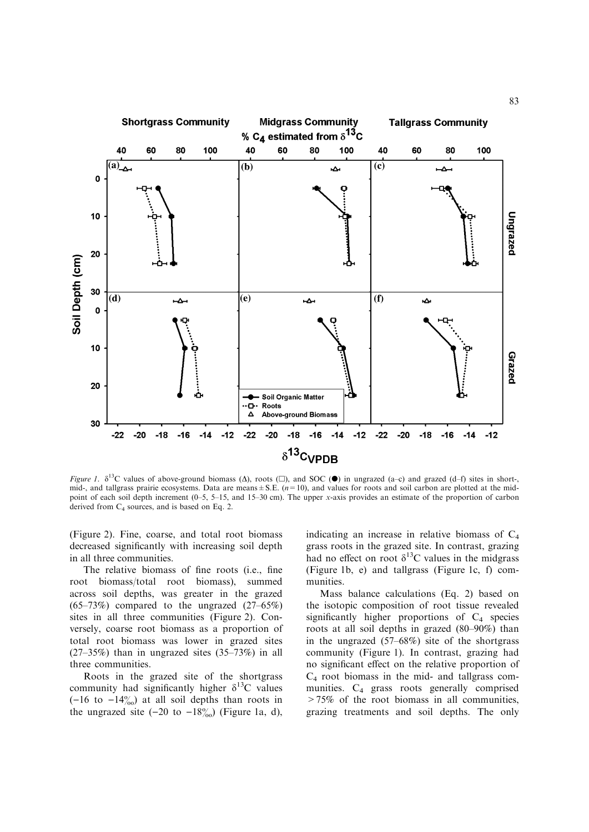

Figure 1.  $\delta^{13}$ C values of above-ground biomass ( $\Delta$ ), roots ( $\square$ ), and SOC ( $\bullet$ ) in ungrazed (a-c) and grazed (d-f) sites in short-, mid-, and tallgrass prairie ecosystems. Data are means  $\pm$  S.E. ( $n=10$ ), and values for roots and soil carbon are plotted at the midpoint of each soil depth increment (0–5, 5–15, and 15–30 cm). The upper x-axis provides an estimate of the proportion of carbon derived from  $C_4$  sources, and is based on Eq. 2.

(Figure 2). Fine, coarse, and total root biomass decreased significantly with increasing soil depth in all three communities.

The relative biomass of fine roots (i.e., fine root biomass/total root biomass), summed across soil depths, was greater in the grazed  $(65-73%)$  compared to the ungrazed  $(27-65%)$ sites in all three communities (Figure 2). Conversely, coarse root biomass as a proportion of total root biomass was lower in grazed sites  $(27-35%)$  than in ungrazed sites  $(35-73%)$  in all three communities.

Roots in the grazed site of the shortgrass community had significantly higher  $\delta^{13}$ C values  $(-16$  to  $-14\%)$  at all soil depths than roots in the ungrazed site  $(-20 \text{ to } -18\%)$  (Figure 1a, d),

indicating an increase in relative biomass of  $C_4$ grass roots in the grazed site. In contrast, grazing had no effect on root  $\delta^{13}$ C values in the midgrass (Figure 1b, e) and tallgrass (Figure 1c, f) communities.

Mass balance calculations (Eq. 2) based on the isotopic composition of root tissue revealed significantly higher proportions of  $C_4$  species roots at all soil depths in grazed (80–90%) than in the ungrazed (57–68%) site of the shortgrass community (Figure 1). In contrast, grazing had no significant effect on the relative proportion of  $C_4$  root biomass in the mid- and tallgrass communities.  $C_4$  grass roots generally comprised >75% of the root biomass in all communities, grazing treatments and soil depths. The only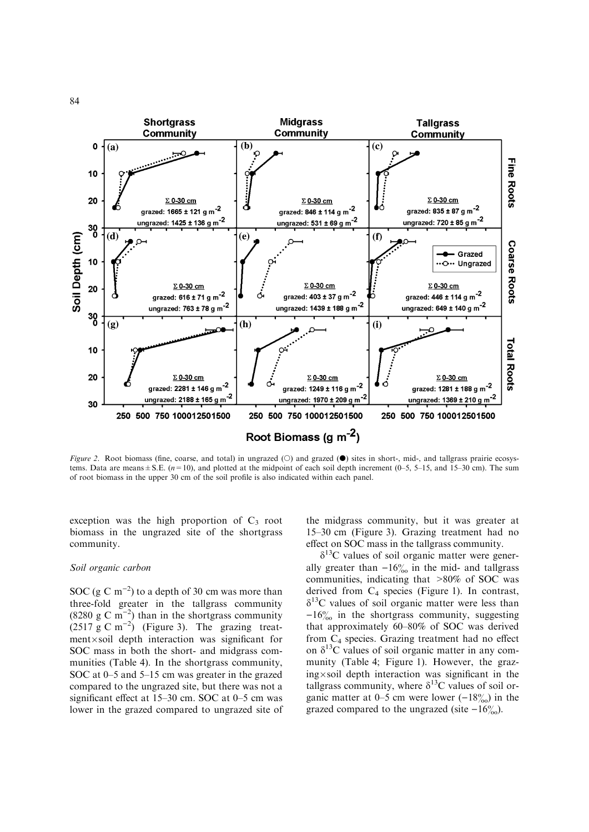

Figure 2. Root biomass (fine, coarse, and total) in ungrazed ( $\odot$ ) and grazed ( $\bullet$ ) sites in short-, mid-, and tallgrass prairie ecosystems. Data are means  $\pm$  S.E. ( $n=10$ ), and plotted at the midpoint of each soil depth increment (0–5, 5–15, and 15–30 cm). The sum of root biomass in the upper 30 cm of the soil profile is also indicated within each panel.

exception was the high proportion of  $C_3$  root biomass in the ungrazed site of the shortgrass community.

## Soil organic carbon

SOC (g C  $\rm{m}^{-2}$ ) to a depth of 30 cm was more than three-fold greater in the tallgrass community (8280 g C m<sup>-2</sup>) than in the shortgrass community  $(2517 \text{ g C m}^{-2})$  (Figure 3). The grazing treatment-soil depth interaction was significant for SOC mass in both the short- and midgrass communities (Table 4). In the shortgrass community, SOC at 0–5 and 5–15 cm was greater in the grazed compared to the ungrazed site, but there was not a significant effect at 15–30 cm. SOC at 0–5 cm was lower in the grazed compared to ungrazed site of the midgrass community, but it was greater at 15–30 cm (Figure 3). Grazing treatment had no effect on SOC mass in the tallgrass community.

 $\delta^{13}$ C values of soil organic matter were generally greater than  $-16\%$  in the mid- and tallgrass communities, indicating that >80% of SOC was derived from C4 species (Figure 1). In contrast,  $\delta^{13}$ C values of soil organic matter were less than  $-16\%$  in the shortgrass community, suggesting that approximately 60–80% of SOC was derived from C4 species. Grazing treatment had no effect on  $\delta^{13}$ C values of soil organic matter in any community (Table 4; Figure 1). However, the graz $ing \times soil$  depth interaction was significant in the tallgrass community, where  $\delta^{13}$ C values of soil organic matter at 0–5 cm were lower  $(-18\%)$  in the grazed compared to the ungrazed (site  $-16\%$ ).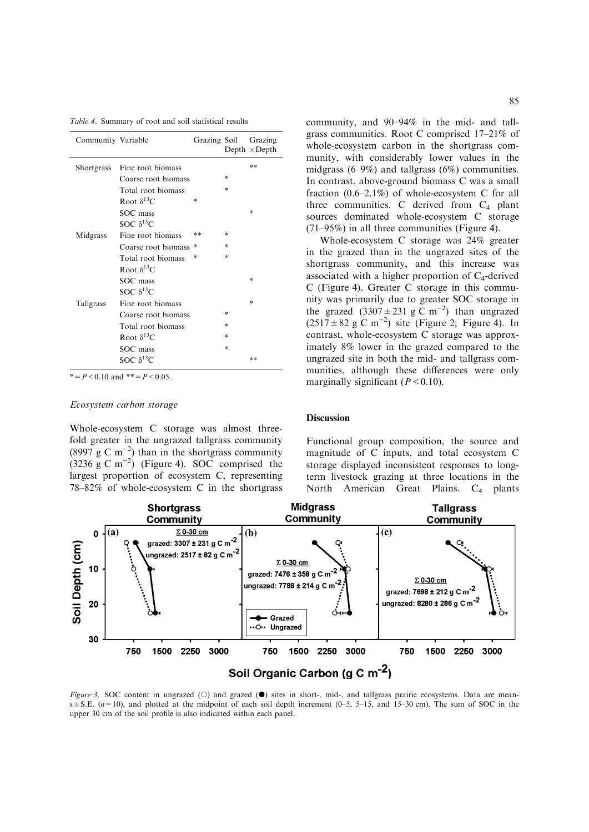Table 4. Summary of root and soil statistical results

| Community Variable |                      | Grazing Soil |        | Grazing<br>Depth $\times$ Depth |
|--------------------|----------------------|--------------|--------|---------------------------------|
| <b>Shortgrass</b>  | Fine root biomass    |              |        | **                              |
|                    | Coarse root biomass  |              | $*$    |                                 |
|                    | Total root biomass   |              | ×      |                                 |
|                    | Root $\delta^{13}$ C | ×            |        |                                 |
|                    | SOC mass             |              |        | $*$                             |
|                    | SOC $\delta^{13}C$   |              |        |                                 |
| Midgrass           | Fine root biomass    | **           | ×      |                                 |
|                    | Coarse root biomass  | *            | ×      |                                 |
|                    | Total root biomass   | ×            | ×      |                                 |
|                    | Root $\delta^{13}$ C |              |        |                                 |
|                    | SOC mass             |              |        | $*$                             |
|                    | SOC $\delta^{13}C$   |              |        |                                 |
| Tallgrass          | Fine root biomass    |              |        | $*$                             |
|                    | Coarse root biomass  |              | $*$    |                                 |
|                    | Total root biomass   |              | *      |                                 |
|                    | Root $\delta^{13}$ C |              | $\ast$ |                                 |
|                    | SOC mass             |              | *      |                                 |
|                    | SOC $\delta^{13}C$   |              |        | **                              |

 $* = P < 0.10$  and  $* = P < 0.05$ .

# Ecosystem carbon storage

Whole-ecosystem C storage was almost threefold greater in the ungrazed tallgrass community  $(8997 \text{ g C m}^{-2})$  than in the shortgrass community  $(3236 \text{ g C m}^{-2})$  (Figure 4). SOC comprised the largest proportion of ecosystem C, representing 78–82% of whole-ecosystem C in the shortgrass community, and 90–94% in the mid- and tallgrass communities. Root C comprised 17–21% of whole-ecosystem carbon in the shortgrass community, with considerably lower values in the midgrass (6–9%) and tallgrass (6%) communities. In contrast, above-ground biomass C was a small fraction (0.6–2.1%) of whole-ecosystem C for all three communities. C derived from  $C_4$  plant sources dominated whole-ecosystem C storage (71–95%) in all three communities (Figure 4).

Whole-ecosystem C storage was 24% greater in the grazed than in the ungrazed sites of the shortgrass community, and this increase was associated with a higher proportion of  $C_4$ -derived C (Figure 4). Greater C storage in this community was primarily due to greater SOC storage in the grazed  $(3307 \pm 231 \text{ g C m}^{-2})$  than ungrazed  $(2517 \pm 82 \text{ g C m}^{-2})$  site (Figure 2; Figure 4). In contrast, whole-ecosystem C storage was approximately 8% lower in the grazed compared to the ungrazed site in both the mid- and tallgrass communities, although these differences were only marginally significant  $(P < 0.10)$ .

## **Discussion**

Functional group composition, the source and magnitude of C inputs, and total ecosystem C storage displayed inconsistent responses to longterm livestock grazing at three locations in the North American Great Plains.  $C_4$  plants



Figure 3. SOC content in ungrazed  $(O)$  and grazed  $(\bullet)$  sites in short-, mid-, and tallgrass prairie ecosystems. Data are mean $s \pm S.E.$  ( $n=10$ ), and plotted at the midpoint of each soil depth increment (0–5, 5–15, and 15–30 cm). The sum of SOC in the upper 30 cm of the soil profile is also indicated within each panel.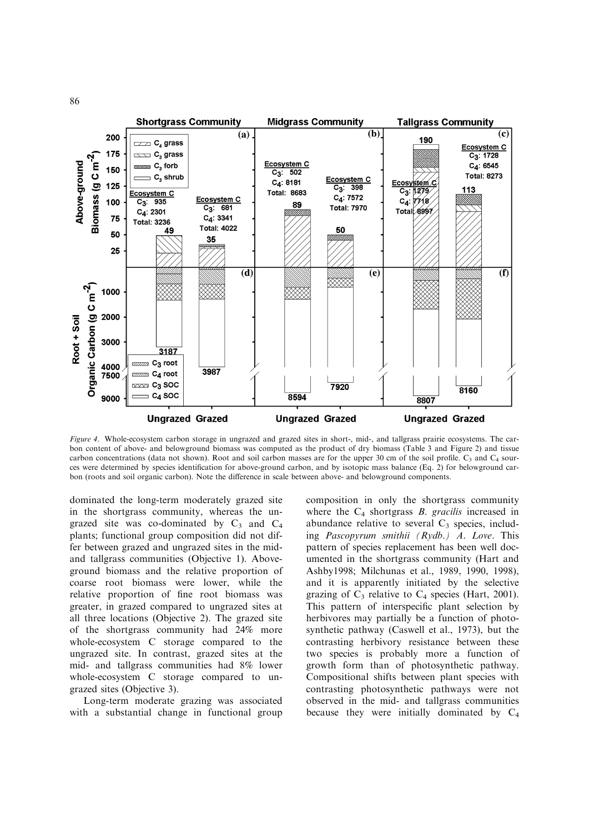

Figure 4. Whole-ecosystem carbon storage in ungrazed and grazed sites in short-, mid-, and tallgrass prairie ecosystems. The carbon content of above- and belowground biomass was computed as the product of dry biomass (Table 3 and Figure 2) and tissue carbon concentrations (data not shown). Root and soil carbon masses are for the upper 30 cm of the soil profile.  $C_3$  and  $C_4$  sources were determined by species identification for above-ground carbon, and by isotopic mass balance (Eq. 2) for belowground carbon (roots and soil organic carbon). Note the difference in scale between above- and belowground components.

dominated the long-term moderately grazed site in the shortgrass community, whereas the ungrazed site was co-dominated by  $C_3$  and  $C_4$ plants; functional group composition did not differ between grazed and ungrazed sites in the midand tallgrass communities (Objective 1). Aboveground biomass and the relative proportion of coarse root biomass were lower, while the relative proportion of fine root biomass was greater, in grazed compared to ungrazed sites at all three locations (Objective 2). The grazed site of the shortgrass community had 24% more whole-ecosystem C storage compared to the ungrazed site. In contrast, grazed sites at the mid- and tallgrass communities had 8% lower whole-ecosystem C storage compared to ungrazed sites (Objective 3).

Long-term moderate grazing was associated with a substantial change in functional group composition in only the shortgrass community where the  $C_4$  shortgrass  $B$ . gracilis increased in abundance relative to several  $C_3$  species, including Pascopyrum smithii (Rydb.) A. Love. This pattern of species replacement has been well documented in the shortgrass community (Hart and Ashby1998; Milchunas et al., 1989, 1990, 1998), and it is apparently initiated by the selective grazing of  $C_3$  relative to  $C_4$  species (Hart, 2001). This pattern of interspecific plant selection by herbivores may partially be a function of photosynthetic pathway (Caswell et al., 1973), but the contrasting herbivory resistance between these two species is probably more a function of growth form than of photosynthetic pathway. Compositional shifts between plant species with contrasting photosynthetic pathways were not observed in the mid- and tallgrass communities because they were initially dominated by  $C_4$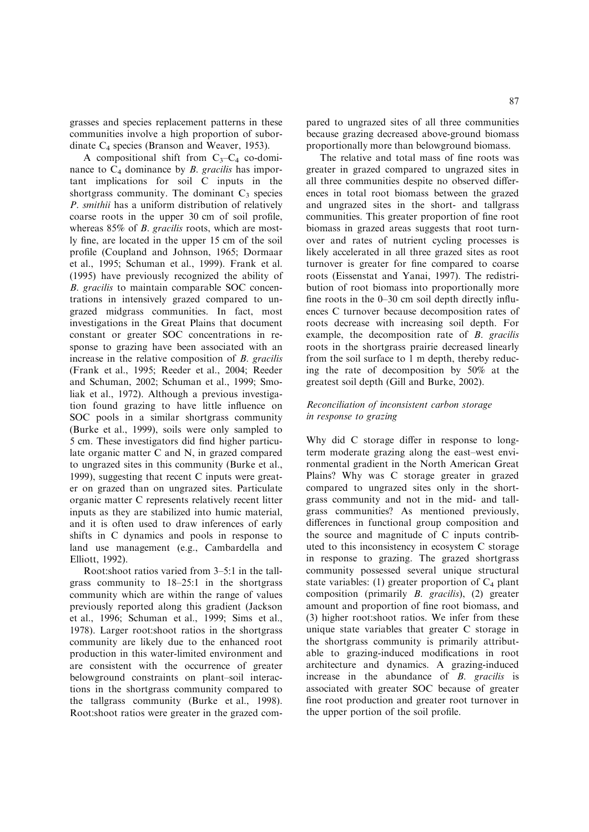grasses and species replacement patterns in these communities involve a high proportion of subordinate C4 species (Branson and Weaver, 1953).

A compositional shift from  $C_3-C_4$  co-dominance to  $C_4$  dominance by *B*. gracilis has important implications for soil C inputs in the shortgrass community. The dominant  $C_3$  species P. smithii has a uniform distribution of relatively coarse roots in the upper 30 cm of soil profile, whereas 85% of *B. gracilis* roots, which are mostly fine, are located in the upper 15 cm of the soil profile (Coupland and Johnson, 1965; Dormaar et al., 1995; Schuman et al., 1999). Frank et al. (1995) have previously recognized the ability of B. gracilis to maintain comparable SOC concentrations in intensively grazed compared to ungrazed midgrass communities. In fact, most investigations in the Great Plains that document constant or greater SOC concentrations in response to grazing have been associated with an increase in the relative composition of B. gracilis (Frank et al., 1995; Reeder et al., 2004; Reeder and Schuman, 2002; Schuman et al., 1999; Smoliak et al., 1972). Although a previous investigation found grazing to have little influence on SOC pools in a similar shortgrass community (Burke et al., 1999), soils were only sampled to 5 cm. These investigators did find higher particulate organic matter C and N, in grazed compared to ungrazed sites in this community (Burke et al., 1999), suggesting that recent C inputs were greater on grazed than on ungrazed sites. Particulate organic matter C represents relatively recent litter inputs as they are stabilized into humic material, and it is often used to draw inferences of early shifts in C dynamics and pools in response to land use management (e.g., Cambardella and Elliott, 1992).

Root:shoot ratios varied from 3–5:1 in the tallgrass community to 18–25:1 in the shortgrass community which are within the range of values previously reported along this gradient (Jackson et al., 1996; Schuman et al., 1999; Sims et al., 1978). Larger root:shoot ratios in the shortgrass community are likely due to the enhanced root production in this water-limited environment and are consistent with the occurrence of greater belowground constraints on plant–soil interactions in the shortgrass community compared to the tallgrass community (Burke et al., 1998). Root:shoot ratios were greater in the grazed compared to ungrazed sites of all three communities because grazing decreased above-ground biomass proportionally more than belowground biomass.

The relative and total mass of fine roots was greater in grazed compared to ungrazed sites in all three communities despite no observed differences in total root biomass between the grazed and ungrazed sites in the short- and tallgrass communities. This greater proportion of fine root biomass in grazed areas suggests that root turnover and rates of nutrient cycling processes is likely accelerated in all three grazed sites as root turnover is greater for fine compared to coarse roots (Eissenstat and Yanai, 1997). The redistribution of root biomass into proportionally more fine roots in the 0–30 cm soil depth directly influences C turnover because decomposition rates of roots decrease with increasing soil depth. For example, the decomposition rate of B. gracilis roots in the shortgrass prairie decreased linearly from the soil surface to 1 m depth, thereby reducing the rate of decomposition by 50% at the greatest soil depth (Gill and Burke, 2002).

# Reconciliation of inconsistent carbon storage in response to grazing

Why did C storage differ in response to longterm moderate grazing along the east–west environmental gradient in the North American Great Plains? Why was C storage greater in grazed compared to ungrazed sites only in the shortgrass community and not in the mid- and tallgrass communities? As mentioned previously, differences in functional group composition and the source and magnitude of C inputs contributed to this inconsistency in ecosystem C storage in response to grazing. The grazed shortgrass community possessed several unique structural state variables: (1) greater proportion of  $C_4$  plant composition (primarily B. gracilis), (2) greater amount and proportion of fine root biomass, and (3) higher root:shoot ratios. We infer from these unique state variables that greater C storage in the shortgrass community is primarily attributable to grazing-induced modifications in root architecture and dynamics. A grazing-induced increase in the abundance of  $B$ . gracilis is associated with greater SOC because of greater fine root production and greater root turnover in the upper portion of the soil profile.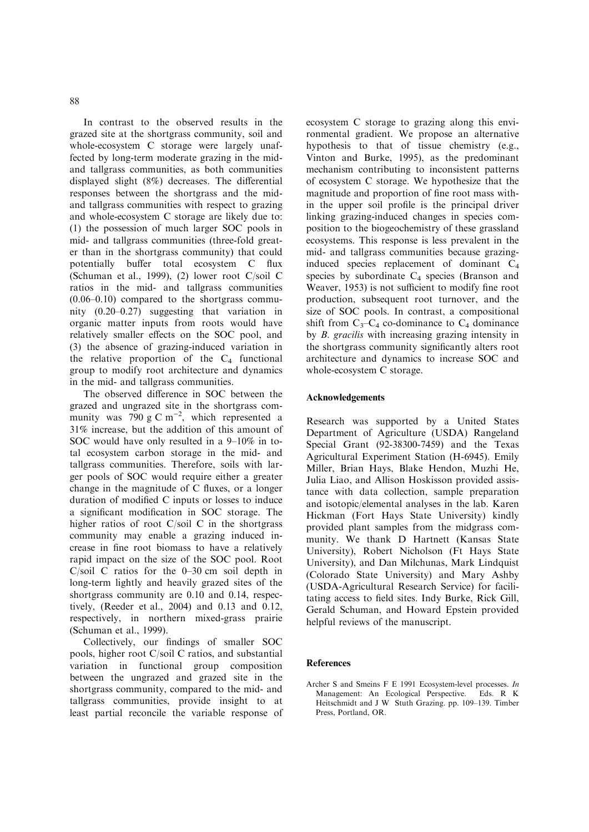In contrast to the observed results in the grazed site at the shortgrass community, soil and whole-ecosystem C storage were largely unaffected by long-term moderate grazing in the midand tallgrass communities, as both communities displayed slight (8%) decreases. The differential responses between the shortgrass and the midand tallgrass communities with respect to grazing and whole-ecosystem C storage are likely due to: (1) the possession of much larger SOC pools in mid- and tallgrass communities (three-fold greater than in the shortgrass community) that could potentially buffer total ecosystem C flux (Schuman et al., 1999), (2) lower root C/soil C ratios in the mid- and tallgrass communities (0.06–0.10) compared to the shortgrass community (0.20–0.27) suggesting that variation in organic matter inputs from roots would have relatively smaller effects on the SOC pool, and (3) the absence of grazing-induced variation in the relative proportion of the  $C_4$  functional group to modify root architecture and dynamics in the mid- and tallgrass communities.

The observed difference in SOC between the grazed and ungrazed site in the shortgrass community was 790 g C m<sup>-2</sup>, which represented a 31% increase, but the addition of this amount of SOC would have only resulted in a 9–10% in total ecosystem carbon storage in the mid- and tallgrass communities. Therefore, soils with larger pools of SOC would require either a greater change in the magnitude of C fluxes, or a longer duration of modified C inputs or losses to induce a significant modification in SOC storage. The higher ratios of root C/soil C in the shortgrass community may enable a grazing induced increase in fine root biomass to have a relatively rapid impact on the size of the SOC pool. Root C/soil C ratios for the 0–30 cm soil depth in long-term lightly and heavily grazed sites of the shortgrass community are 0.10 and 0.14, respectively, (Reeder et al., 2004) and 0.13 and 0.12, respectively, in northern mixed-grass prairie (Schuman et al., 1999).

Collectively, our findings of smaller SOC pools, higher root C/soil C ratios, and substantial variation in functional group composition between the ungrazed and grazed site in the shortgrass community, compared to the mid- and tallgrass communities, provide insight to at least partial reconcile the variable response of ecosystem C storage to grazing along this environmental gradient. We propose an alternative hypothesis to that of tissue chemistry (e.g., Vinton and Burke, 1995), as the predominant mechanism contributing to inconsistent patterns of ecosystem C storage. We hypothesize that the magnitude and proportion of fine root mass within the upper soil profile is the principal driver linking grazing-induced changes in species composition to the biogeochemistry of these grassland ecosystems. This response is less prevalent in the mid- and tallgrass communities because grazinginduced species replacement of dominant C4 species by subordinate  $C_4$  species (Branson and Weaver, 1953) is not sufficient to modify fine root production, subsequent root turnover, and the size of SOC pools. In contrast, a compositional shift from  $C_3-C_4$  co-dominance to  $C_4$  dominance by B. gracilis with increasing grazing intensity in the shortgrass community significantly alters root architecture and dynamics to increase SOC and whole-ecosystem C storage.

## Acknowledgements

Research was supported by a United States Department of Agriculture (USDA) Rangeland Special Grant (92-38300-7459) and the Texas Agricultural Experiment Station (H-6945). Emily Miller, Brian Hays, Blake Hendon, Muzhi He, Julia Liao, and Allison Hoskisson provided assistance with data collection, sample preparation and isotopic/elemental analyses in the lab. Karen Hickman (Fort Hays State University) kindly provided plant samples from the midgrass community. We thank D Hartnett (Kansas State University), Robert Nicholson (Ft Hays State University), and Dan Milchunas, Mark Lindquist (Colorado State University) and Mary Ashby (USDA-Agricultural Research Service) for facilitating access to field sites. Indy Burke, Rick Gill, Gerald Schuman, and Howard Epstein provided helpful reviews of the manuscript.

#### References

Archer S and Smeins F E 1991 Ecosystem-level processes. In Management: An Ecological Perspective. Eds. R K Heitschmidt and J W Stuth Grazing. pp. 109–139. Timber Press, Portland, OR.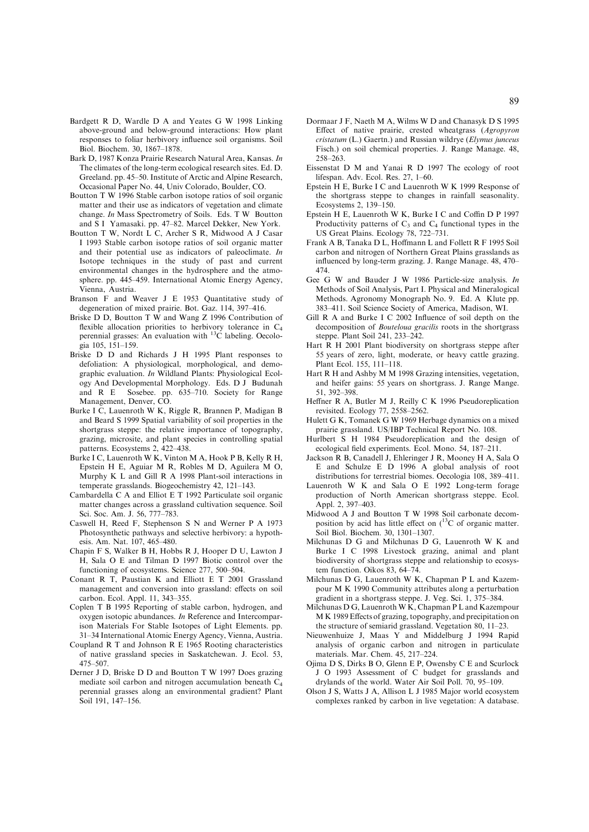- Bardgett R D, Wardle D A and Yeates G W 1998 Linking above-ground and below-ground interactions: How plant responses to foliar herbivory influence soil organisms. Soil Biol. Biochem. 30, 1867–1878.
- Bark D, 1987 Konza Prairie Research Natural Area, Kansas. In The climates of the long-term ecological research sites. Ed. D. Greeland. pp. 45–50. Institute of Arctic and Alpine Research, Occasional Paper No. 44, Univ Colorado, Boulder, CO.
- Boutton T W 1996 Stable carbon isotope ratios of soil organic matter and their use as indicators of vegetation and climate change. In Mass Spectrometry of Soils. Eds. T W Boutton and S I Yamasaki. pp. 47–82. Marcel Dekker, New York.
- Boutton T W, Nordt L C, Archer S R, Midwood A J Casar I 1993 Stable carbon isotope ratios of soil organic matter and their potential use as indicators of paleoclimate. In Isotope techniques in the study of past and current environmental changes in the hydrosphere and the atmosphere. pp. 445–459. International Atomic Energy Agency, Vienna, Austria.

Branson F and Weaver J E 1953 Quantitative study of degeneration of mixed prairie. Bot. Gaz. 114, 397–416.

- Briske D D, Boutton T W and Wang Z 1996 Contribution of flexible allocation priorities to herbivory tolerance in C4 perennial grasses: An evaluation with  $^{13}$ C labeling. Oecologia 105, 151–159.
- Briske D D and Richards J H 1995 Plant responses to defoliation: A physiological, morphological, and demographic evaluation. In Wildland Plants: Physiological Ecology And Developmental Morphology. Eds. D J Budunah and R E Sosebee. pp. 635–710. Society for Range Management, Denver, CO.
- Burke I C, Lauenroth W K, Riggle R, Brannen P, Madigan B and Beard S 1999 Spatial variability of soil properties in the shortgrass steppe: the relative importance of topography, grazing, microsite, and plant species in controlling spatial patterns. Ecosystems 2, 422–438.
- Burke I C, Lauenroth W K, Vinton M A, Hook P B, Kelly R H, Epstein H E, Aguiar M R, Robles M D, Aguilera M O, Murphy K L and Gill R A 1998 Plant-soil interactions in temperate grasslands. Biogeochemistry 42, 121–143.
- Cambardella C A and Elliot E T 1992 Particulate soil organic matter changes across a grassland cultivation sequence. Soil Sci. Soc. Am. J. 56, 777–783.
- Caswell H, Reed F, Stephenson S N and Werner P A 1973 Photosynthetic pathways and selective herbivory: a hypothesis. Am. Nat. 107, 465–480.
- Chapin F S, Walker B H, Hobbs R J, Hooper D U, Lawton J H, Sala O E and Tilman D 1997 Biotic control over the functioning of ecosystems. Science 277, 500–504.
- Conant R T, Paustian K and Elliott E T 2001 Grassland management and conversion into grassland: effects on soil carbon. Ecol. Appl. 11, 343–355.
- Coplen T B 1995 Reporting of stable carbon, hydrogen, and oxygen isotopic abundances. In Reference and Intercomparison Materials For Stable Isotopes of Light Elements. pp. 31–34 International Atomic Energy Agency, Vienna, Austria.
- Coupland R T and Johnson R E 1965 Rooting characteristics of native grassland species in Saskatchewan. J. Ecol. 53, 475–507.
- Derner J D, Briske D D and Boutton T W 1997 Does grazing mediate soil carbon and nitrogen accumulation beneath C4 perennial grasses along an environmental gradient? Plant Soil 191, 147–156.
- Dormaar J F, Naeth M A, Wilms W D and Chanasyk D S 1995 Effect of native prairie, crested wheatgrass (Agropyron cristatum (L.) Gaertn.) and Russian wildrye (Elymus junceus Fisch.) on soil chemical properties. J. Range Manage. 48, 258–263.
- Eissenstat D M and Yanai R D 1997 The ecology of root lifespan. Adv. Ecol. Res. 27, 1–60.
- Epstein H E, Burke I C and Lauenroth W K 1999 Response of the shortgrass steppe to changes in rainfall seasonality. Ecosystems 2, 139–150.
- Epstein H E, Lauenroth W K, Burke I C and Coffin D P 1997 Productivity patterns of  $C_3$  and  $C_4$  functional types in the US Great Plains. Ecology 78, 722–731.
- Frank A B, Tanaka D L, Hoffmann L and Follett R F 1995 Soil carbon and nitrogen of Northern Great Plains grasslands as influenced by long-term grazing. J. Range Manage. 48, 470– 474.
- Gee G W and Bauder J W 1986 Particle-size analysis. In Methods of Soil Analysis, Part I. Physical and Mineralogical Methods. Agronomy Monograph No. 9. Ed. A Klute pp. 383–411. Soil Science Society of America, Madison, WI.
- Gill R A and Burke I C 2002 Influence of soil depth on the decomposition of Bouteloua gracilis roots in the shortgrass steppe. Plant Soil 241, 233–242.
- Hart R H 2001 Plant biodiversity on shortgrass steppe after 55 years of zero, light, moderate, or heavy cattle grazing. Plant Ecol. 155, 111–118.
- Hart R H and Ashby M M 1998 Grazing intensities, vegetation, and heifer gains: 55 years on shortgrass. J. Range Mange. 51, 392–398.
- Heffner R A, Butler M J, Reilly C K 1996 Pseudoreplication revisited. Ecology 77, 2558–2562.
- Hulett G K, Tomanek G W 1969 Herbage dynamics on a mixed prairie grassland. US/IBP Technical Report No. 108.
- Hurlbert S H 1984 Pseudoreplication and the design of ecological field experiments. Ecol. Mono. 54, 187–211.
- Jackson R B, Canadell J, Ehleringer J R, Mooney H A, Sala O E and Schulze E D 1996 A global analysis of root distributions for terrestrial biomes. Oecologia 108, 389–411.
- Lauenroth W K and Sala O E 1992 Long-term forage production of North American shortgrass steppe. Ecol. Appl. 2, 397–403.
- Midwood A J and Boutton T W 1998 Soil carbonate decomposition by acid has little effect on  $(^{13}C)$  of organic matter. Soil Biol. Biochem. 30, 1301–1307.
- Milchunas D G and Milchunas D G, Lauenroth W K and Burke I C 1998 Livestock grazing, animal and plant biodiversity of shortgrass steppe and relationship to ecosystem function. Oikos 83, 64–74.
- Milchunas D G, Lauenroth W K, Chapman P L and Kazempour M K 1990 Community attributes along a perturbation gradient in a shortgrass steppe. J. Veg. Sci. 1, 375–384.
- Milchunas D G, Lauenroth W K, Chapman P L and Kazempour M K 1989 Effects of grazing, topography, and precipitation on the structure of semiarid grassland. Vegetation 80, 11–23.
- Nieuwenhuize J, Maas Y and Middelburg J 1994 Rapid analysis of organic carbon and nitrogen in particulate materials. Mar. Chem. 45, 217–224.
- Ojima D S, Dirks B O, Glenn E P, Owensby C E and Scurlock J O 1993 Assessment of C budget for grasslands and drylands of the world. Water Air Soil Poll. 70, 95–109.
- Olson J S, Watts J A, Allison L J 1985 Major world ecosystem complexes ranked by carbon in live vegetation: A database.